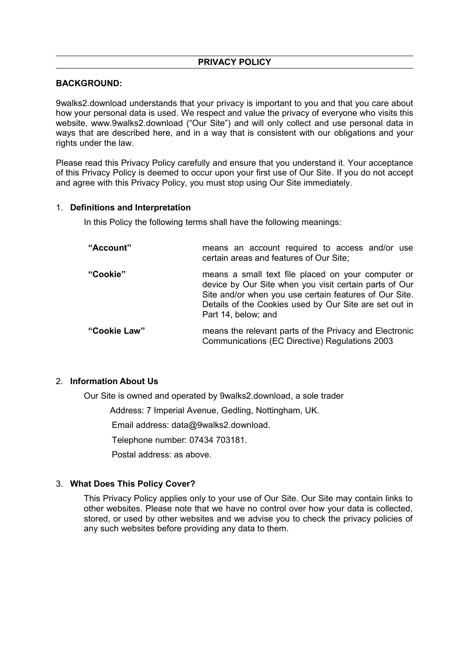### **PRIVACY POLICY**

### **BACKGROUND:**

9walks2.download understands that your privacy is important to you and that you care about how your personal data is used. We respect and value the privacy of everyone who visits this website, www.9walks2.download ("Our Site") and will only collect and use personal data in ways that are described here, and in a way that is consistent with our obligations and your rights under the law.

Please read this Privacy Policy carefully and ensure that you understand it. Your acceptance of this Privacy Policy is deemed to occur upon your first use of Our Site. If you do not accept and agree with this Privacy Policy, you must stop using Our Site immediately.

#### 1. **Definitions and Interpretation**

In this Policy the following terms shall have the following meanings:

| "Account"    | means an account required to access and/or use<br>certain areas and features of Our Site;                                                                                                                                                               |
|--------------|---------------------------------------------------------------------------------------------------------------------------------------------------------------------------------------------------------------------------------------------------------|
| "Cookie"     | means a small text file placed on your computer or<br>device by Our Site when you visit certain parts of Our<br>Site and/or when you use certain features of Our Site.<br>Details of the Cookies used by Our Site are set out in<br>Part 14, below; and |
| "Cookie Law" | means the relevant parts of the Privacy and Electronic<br>Communications (EC Directive) Regulations 2003                                                                                                                                                |

# 2. **Information About Us**

Our Site is owned and operated by 9walks2.download, a sole trader

Address: 7 Imperial Avenue, Gedling, Nottingham, UK.

Email address: data@9walks2.download.

Telephone number: 07434 703181.

Postal address: as above.

# 3. **What Does This Policy Cover?**

This Privacy Policy applies only to your use of Our Site. Our Site may contain links to other websites. Please note that we have no control over how your data is collected, stored, or used by other websites and we advise you to check the privacy policies of any such websites before providing any data to them.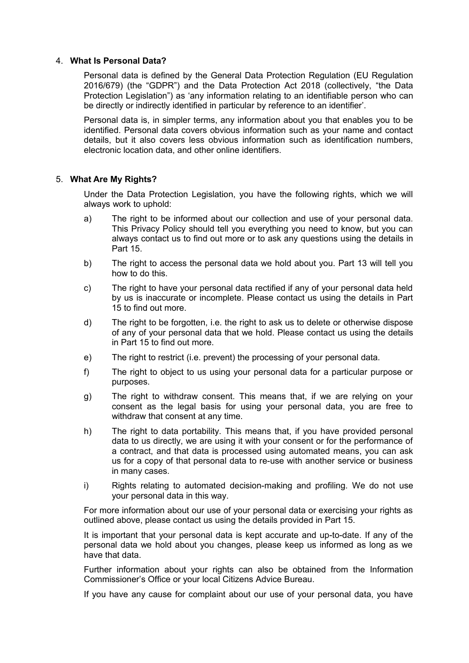### 4. **What Is Personal Data?**

Personal data is defined by the General Data Protection Regulation (EU Regulation 2016/679) (the "GDPR") and the Data Protection Act 2018 (collectively, "the Data Protection Legislation") as 'any information relating to an identifiable person who can be directly or indirectly identified in particular by reference to an identifier'.

Personal data is, in simpler terms, any information about you that enables you to be identified. Personal data covers obvious information such as your name and contact details, but it also covers less obvious information such as identification numbers, electronic location data, and other online identifiers.

### 5. **What Are My Rights?**

Under the Data Protection Legislation, you have the following rights, which we will always work to uphold:

- a) The right to be informed about our collection and use of your personal data. This Privacy Policy should tell you everything you need to know, but you can always contact us to find out more or to ask any questions using the details in Part 15.
- b) The right to access the personal data we hold about you. Part 13 will tell you how to do this.
- c) The right to have your personal data rectified if any of your personal data held by us is inaccurate or incomplete. Please contact us using the details in Part 15 to find out more.
- d) The right to be forgotten, i.e. the right to ask us to delete or otherwise dispose of any of your personal data that we hold. Please contact us using the details in Part 15 to find out more.
- e) The right to restrict (i.e. prevent) the processing of your personal data.
- f) The right to object to us using your personal data for a particular purpose or purposes.
- g) The right to withdraw consent. This means that, if we are relying on your consent as the legal basis for using your personal data, you are free to withdraw that consent at any time.
- h) The right to data portability. This means that, if you have provided personal data to us directly, we are using it with your consent or for the performance of a contract, and that data is processed using automated means, you can ask us for a copy of that personal data to re-use with another service or business in many cases.
- i) Rights relating to automated decision-making and profiling. We do not use your personal data in this way.

For more information about our use of your personal data or exercising your rights as outlined above, please contact us using the details provided in Part 15.

It is important that your personal data is kept accurate and up-to-date. If any of the personal data we hold about you changes, please keep us informed as long as we have that data.

Further information about your rights can also be obtained from the Information Commissioner's Office or your local Citizens Advice Bureau.

If you have any cause for complaint about our use of your personal data, you have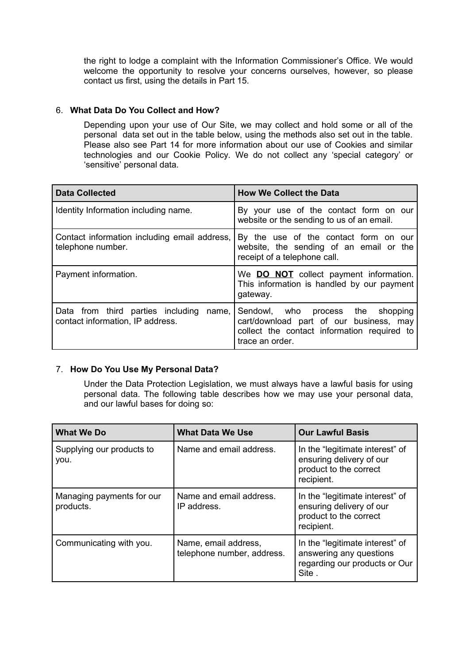the right to lodge a complaint with the Information Commissioner's Office. We would welcome the opportunity to resolve your concerns ourselves, however, so please contact us first, using the details in Part 15.

# 6. **What Data Do You Collect and How?**

Depending upon your use of Our Site, we may collect and hold some or all of the personal data set out in the table below, using the methods also set out in the table. Please also see Part 14 for more information about our use of Cookies and similar technologies and our Cookie Policy. We do not collect any 'special category' or 'sensitive' personal data.

| <b>Data Collected</b>                                                          | <b>How We Collect the Data</b>                                                                                                                 |  |  |
|--------------------------------------------------------------------------------|------------------------------------------------------------------------------------------------------------------------------------------------|--|--|
| Identity Information including name.                                           | By your use of the contact form on our<br>website or the sending to us of an email.                                                            |  |  |
| Contact information including email address,<br>telephone number.              | By the use of the contact form on our<br>website, the sending of an email or the<br>receipt of a telephone call.                               |  |  |
| Payment information.                                                           | We <b>DO NOT</b> collect payment information.<br>This information is handled by our payment<br>gateway.                                        |  |  |
| Data from third parties including<br>name,<br>contact information, IP address. | Sendowl, who process the shopping<br>cart/download part of our business, may<br>collect the contact information required to<br>trace an order. |  |  |

# 7. **How Do You Use My Personal Data?**

Under the Data Protection Legislation, we must always have a lawful basis for using personal data. The following table describes how we may use your personal data, and our lawful bases for doing so:

| <b>What We Do</b>                      | <b>What Data We Use</b>                            | <b>Our Lawful Basis</b>                                                                              |  |
|----------------------------------------|----------------------------------------------------|------------------------------------------------------------------------------------------------------|--|
| Supplying our products to<br>you.      | Name and email address.                            | In the "legitimate interest" of<br>ensuring delivery of our<br>product to the correct<br>recipient.  |  |
| Managing payments for our<br>products. | Name and email address.<br>IP address.             | In the "legitimate interest" of<br>ensuring delivery of our<br>product to the correct<br>recipient.  |  |
| Communicating with you.                | Name, email address,<br>telephone number, address. | In the "legitimate interest" of<br>answering any questions<br>regarding our products or Our<br>Site. |  |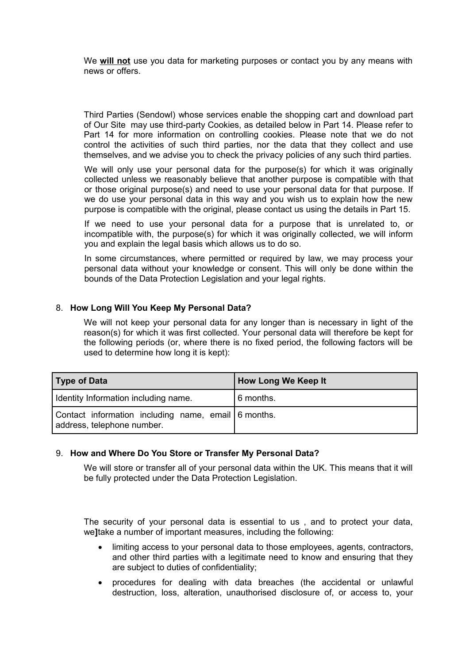We **will not** use you data for marketing purposes or contact you by any means with news or offers.

Third Parties (Sendowl) whose services enable the shopping cart and download part of Our Site may use third-party Cookies, as detailed below in Part 14. Please refer to Part 14 for more information on controlling cookies. Please note that we do not control the activities of such third parties, nor the data that they collect and use themselves, and we advise you to check the privacy policies of any such third parties.

We will only use your personal data for the purpose(s) for which it was originally collected unless we reasonably believe that another purpose is compatible with that or those original purpose(s) and need to use your personal data for that purpose. If we do use your personal data in this way and you wish us to explain how the new purpose is compatible with the original, please contact us using the details in Part 15.

If we need to use your personal data for a purpose that is unrelated to, or incompatible with, the purpose(s) for which it was originally collected, we will inform you and explain the legal basis which allows us to do so.

In some circumstances, where permitted or required by law, we may process your personal data without your knowledge or consent. This will only be done within the bounds of the Data Protection Legislation and your legal rights.

# 8. **How Long Will You Keep My Personal Data?**

We will not keep your personal data for any longer than is necessary in light of the reason(s) for which it was first collected. Your personal data will therefore be kept for the following periods (or, where there is no fixed period, the following factors will be used to determine how long it is kept):

| Type of Data                                                                      | How Long We Keep It |  |
|-----------------------------------------------------------------------------------|---------------------|--|
| I Identity Information including name.                                            | 6 months.           |  |
| Contact information including name, email 6 months.<br>address, telephone number. |                     |  |

#### 9. **How and Where Do You Store or Transfer My Personal Data?**

We will store or transfer all of your personal data within the UK. This means that it will be fully protected under the Data Protection Legislation.

The security of your personal data is essential to us , and to protect your data, we**]**take a number of important measures, including the following:

- limiting access to your personal data to those employees, agents, contractors, and other third parties with a legitimate need to know and ensuring that they are subject to duties of confidentiality;
- procedures for dealing with data breaches (the accidental or unlawful destruction, loss, alteration, unauthorised disclosure of, or access to, your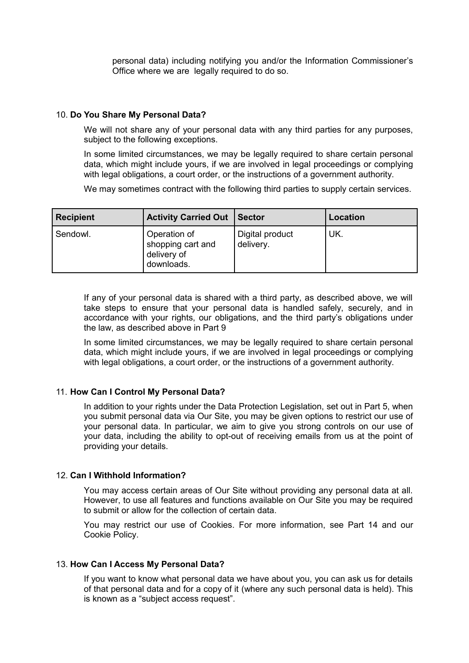personal data) including notifying you and/or the Information Commissioner's Office where we are legally required to do so.

### 10. **Do You Share My Personal Data?**

We will not share any of your personal data with any third parties for any purposes, subject to the following exceptions.

In some limited circumstances, we may be legally required to share certain personal data, which might include yours, if we are involved in legal proceedings or complying with legal obligations, a court order, or the instructions of a government authority.

We may sometimes contract with the following third parties to supply certain services.

| <b>Recipient</b> | <b>Activity Carried Out</b>                                      | <b>Sector</b>                | Location |
|------------------|------------------------------------------------------------------|------------------------------|----------|
| Sendowl.         | Operation of<br>I shopping cart and<br>delivery of<br>downloads. | Digital product<br>delivery. | UK.      |

If any of your personal data is shared with a third party, as described above, we will take steps to ensure that your personal data is handled safely, securely, and in accordance with your rights, our obligations, and the third party's obligations under the law, as described above in Part 9

In some limited circumstances, we may be legally required to share certain personal data, which might include yours, if we are involved in legal proceedings or complying with legal obligations, a court order, or the instructions of a government authority.

# 11. **How Can I Control My Personal Data?**

In addition to your rights under the Data Protection Legislation, set out in Part 5, when you submit personal data via Our Site, you may be given options to restrict our use of your personal data. In particular, we aim to give you strong controls on our use of your data, including the ability to opt-out of receiving emails from us at the point of providing your details.

#### 12. **Can I Withhold Information?**

You may access certain areas of Our Site without providing any personal data at all. However, to use all features and functions available on Our Site you may be required to submit or allow for the collection of certain data.

You may restrict our use of Cookies. For more information, see Part 14 and our Cookie Policy.

### 13. **How Can I Access My Personal Data?**

If you want to know what personal data we have about you, you can ask us for details of that personal data and for a copy of it (where any such personal data is held). This is known as a "subject access request".